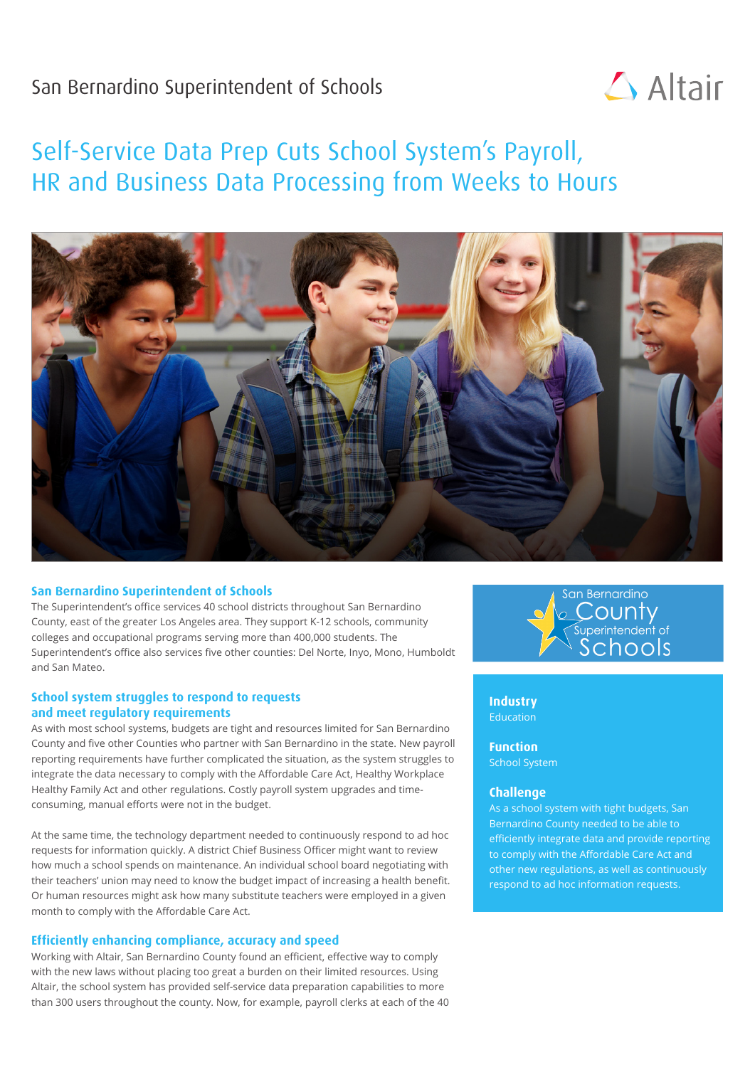## San Bernardino Superintendent of Schools



# Self-Service Data Prep Cuts School System's Payroll, HR and Business Data Processing from Weeks to Hours



#### **San Bernardino Superintendent of Schools**

The Superintendent's office services 40 school districts throughout San Bernardino County, east of the greater Los Angeles area. They support K-12 schools, community colleges and occupational programs serving more than 400,000 students. The Superintendent's office also services five other counties: Del Norte, Inyo, Mono, Humboldt and San Mateo.

#### **School system struggles to respond to requests and meet regulatory requirements**

As with most school systems, budgets are tight and resources limited for San Bernardino County and five other Counties who partner with San Bernardino in the state. New payroll reporting requirements have further complicated the situation, as the system struggles to integrate the data necessary to comply with the Affordable Care Act, Healthy Workplace Healthy Family Act and other regulations. Costly payroll system upgrades and timeconsuming, manual efforts were not in the budget.

At the same time, the technology department needed to continuously respond to ad hoc requests for information quickly. A district Chief Business Officer might want to review how much a school spends on maintenance. An individual school board negotiating with their teachers' union may need to know the budget impact of increasing a health benefit. Or human resources might ask how many substitute teachers were employed in a given month to comply with the Affordable Care Act.

#### **Efficiently enhancing compliance, accuracy and speed**

Working with Altair, San Bernardino County found an efficient, effective way to comply with the new laws without placing too great a burden on their limited resources. Using Altair, the school system has provided self-service data preparation capabilities to more than 300 users throughout the county. Now, for example, payroll clerks at each of the 40



**Industry** Education

**Function** School System

#### **Challenge**

As a school system with tight budgets, San Bernardino County needed to be able to efficiently integrate data and provide reporting to comply with the Affordable Care Act and other new regulations, as well as continuously respond to ad hoc information requests.